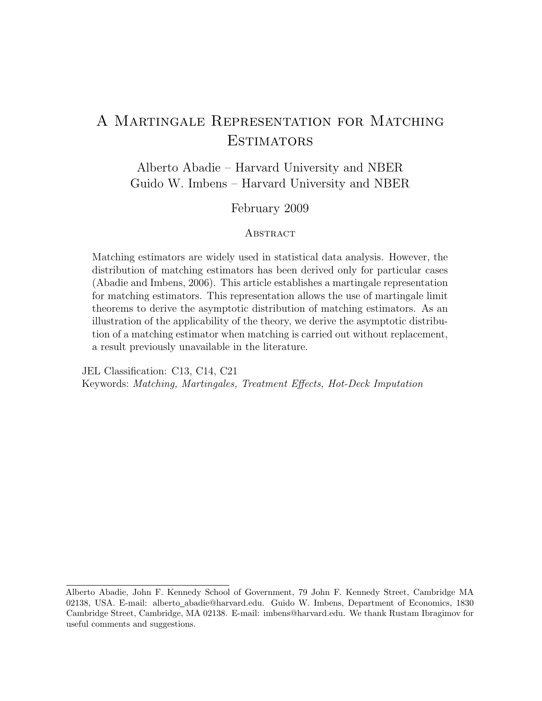# A Martingale Representation for Matching **ESTIMATORS**

Alberto Abadie – Harvard University and NBER Guido W. Imbens – Harvard University and NBER

# February 2009

## **ABSTRACT**

Matching estimators are widely used in statistical data analysis. However, the distribution of matching estimators has been derived only for particular cases (Abadie and Imbens, 2006). This article establishes a martingale representation for matching estimators. This representation allows the use of martingale limit theorems to derive the asymptotic distribution of matching estimators. As an illustration of the applicability of the theory, we derive the asymptotic distribution of a matching estimator when matching is carried out without replacement, a result previously unavailable in the literature.

JEL Classification: C13, C14, C21 Keywords: Matching, Martingales, Treatment Effects, Hot-Deck Imputation

Alberto Abadie, John F. Kennedy School of Government, 79 John F. Kennedy Street, Cambridge MA 02138, USA. E-mail: alberto abadie@harvard.edu. Guido W. Imbens, Department of Economics, 1830 Cambridge Street, Cambridge, MA 02138. E-mail: imbens@harvard.edu. We thank Rustam Ibragimov for useful comments and suggestions.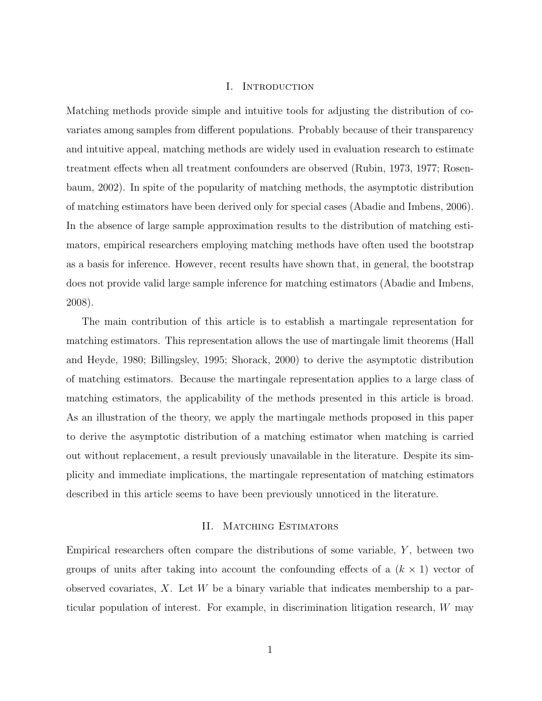#### I. Introduction

Matching methods provide simple and intuitive tools for adjusting the distribution of covariates among samples from different populations. Probably because of their transparency and intuitive appeal, matching methods are widely used in evaluation research to estimate treatment effects when all treatment confounders are observed (Rubin, 1973, 1977; Rosenbaum, 2002). In spite of the popularity of matching methods, the asymptotic distribution of matching estimators have been derived only for special cases (Abadie and Imbens, 2006). In the absence of large sample approximation results to the distribution of matching estimators, empirical researchers employing matching methods have often used the bootstrap as a basis for inference. However, recent results have shown that, in general, the bootstrap does not provide valid large sample inference for matching estimators (Abadie and Imbens, 2008).

The main contribution of this article is to establish a martingale representation for matching estimators. This representation allows the use of martingale limit theorems (Hall and Heyde, 1980; Billingsley, 1995; Shorack, 2000) to derive the asymptotic distribution of matching estimators. Because the martingale representation applies to a large class of matching estimators, the applicability of the methods presented in this article is broad. As an illustration of the theory, we apply the martingale methods proposed in this paper to derive the asymptotic distribution of a matching estimator when matching is carried out without replacement, a result previously unavailable in the literature. Despite its simplicity and immediate implications, the martingale representation of matching estimators described in this article seems to have been previously unnoticed in the literature.

## II. MATCHING ESTIMATORS

Empirical researchers often compare the distributions of some variable,  $Y$ , between two groups of units after taking into account the confounding effects of a  $(k \times 1)$  vector of observed covariates,  $X$ . Let  $W$  be a binary variable that indicates membership to a particular population of interest. For example, in discrimination litigation research, W may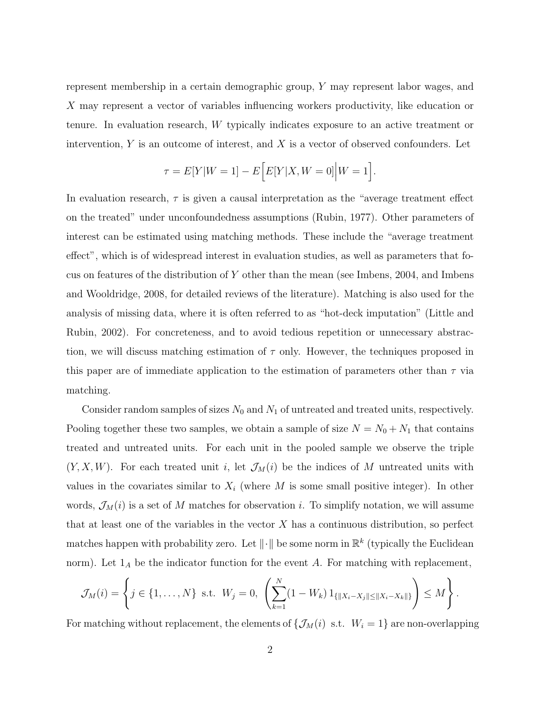represent membership in a certain demographic group, Y may represent labor wages, and X may represent a vector of variables influencing workers productivity, like education or tenure. In evaluation research, W typically indicates exposure to an active treatment or intervention,  $Y$  is an outcome of interest, and  $X$  is a vector of observed confounders. Let

$$
\tau = E[Y|W = 1] - E\Big[E[Y|X, W = 0]\Big|W = 1\Big].
$$

In evaluation research,  $\tau$  is given a causal interpretation as the "average treatment effect" on the treated" under unconfoundedness assumptions (Rubin, 1977). Other parameters of interest can be estimated using matching methods. These include the "average treatment effect", which is of widespread interest in evaluation studies, as well as parameters that focus on features of the distribution of  $Y$  other than the mean (see Imbens, 2004, and Imbens and Wooldridge, 2008, for detailed reviews of the literature). Matching is also used for the analysis of missing data, where it is often referred to as "hot-deck imputation" (Little and Rubin, 2002). For concreteness, and to avoid tedious repetition or unnecessary abstraction, we will discuss matching estimation of  $\tau$  only. However, the techniques proposed in this paper are of immediate application to the estimation of parameters other than  $\tau$  via matching.

Consider random samples of sizes  $N_0$  and  $N_1$  of untreated and treated units, respectively. Pooling together these two samples, we obtain a sample of size  $N = N_0 + N_1$  that contains treated and untreated units. For each unit in the pooled sample we observe the triple  $(Y, X, W)$ . For each treated unit i, let  $\mathcal{J}_M(i)$  be the indices of M untreated units with values in the covariates similar to  $X_i$  (where M is some small positive integer). In other words,  $\mathcal{J}_M(i)$  is a set of M matches for observation i. To simplify notation, we will assume that at least one of the variables in the vector  $X$  has a continuous distribution, so perfect matches happen with probability zero. Let  $\|\cdot\|$  be some norm in  $\mathbb{R}^k$  (typically the Euclidean norm). Let  $1_A$  be the indicator function for the event A. For matching with replacement,

$$
\mathcal{J}_M(i) = \left\{ j \in \{1, ..., N\} \text{ s.t. } W_j = 0, \left( \sum_{k=1}^N (1 - W_k) 1_{\{\|X_i - X_j\| \le \|X_i - X_k\|\}} \right) \le M \right\}.
$$

For matching without replacement, the elements of  $\{\mathcal{J}_M(i) \text{ s.t. } W_i = 1\}$  are non-overlapping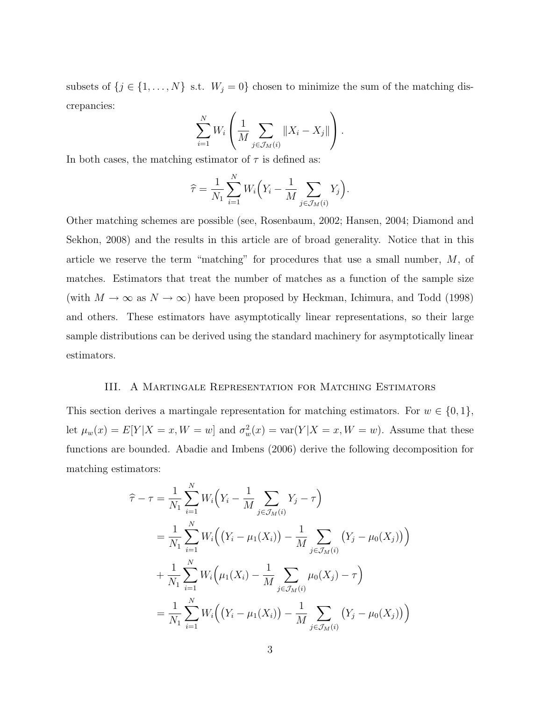subsets of  $\{j \in \{1, ..., N\}$  s.t.  $W_j = 0\}$  chosen to minimize the sum of the matching discrepancies:

$$
\sum_{i=1}^{N} W_i \left( \frac{1}{M} \sum_{j \in \mathcal{J}_M(i)} \|X_i - X_j\| \right).
$$

In both cases, the matching estimator of  $\tau$  is defined as:

$$
\widehat{\tau} = \frac{1}{N_1} \sum_{i=1}^N W_i \Big( Y_i - \frac{1}{M} \sum_{j \in \mathcal{J}_M(i)} Y_j \Big).
$$

Other matching schemes are possible (see, Rosenbaum, 2002; Hansen, 2004; Diamond and Sekhon, 2008) and the results in this article are of broad generality. Notice that in this article we reserve the term "matching" for procedures that use a small number, M, of matches. Estimators that treat the number of matches as a function of the sample size (with  $M \to \infty$  as  $N \to \infty$ ) have been proposed by Heckman, Ichimura, and Todd (1998) and others. These estimators have asymptotically linear representations, so their large sample distributions can be derived using the standard machinery for asymptotically linear estimators.

#### III. A Martingale Representation for Matching Estimators

This section derives a martingale representation for matching estimators. For  $w \in \{0, 1\}$ , let  $\mu_w(x) = E[Y|X=x, W=w]$  and  $\sigma_w^2(x) = \text{var}(Y|X=x, W=w)$ . Assume that these functions are bounded. Abadie and Imbens (2006) derive the following decomposition for matching estimators:

$$
\hat{\tau} - \tau = \frac{1}{N_1} \sum_{i=1}^{N} W_i \Big( Y_i - \frac{1}{M} \sum_{j \in \mathcal{J}_M(i)} Y_j - \tau \Big)
$$
  
\n
$$
= \frac{1}{N_1} \sum_{i=1}^{N} W_i \Big( \big( Y_i - \mu_1(X_i) \big) - \frac{1}{M} \sum_{j \in \mathcal{J}_M(i)} \big( Y_j - \mu_0(X_j) \big) \Big)
$$
  
\n
$$
+ \frac{1}{N_1} \sum_{i=1}^{N} W_i \Big( \mu_1(X_i) - \frac{1}{M} \sum_{j \in \mathcal{J}_M(i)} \mu_0(X_j) - \tau \Big)
$$
  
\n
$$
= \frac{1}{N_1} \sum_{i=1}^{N} W_i \Big( \big( Y_i - \mu_1(X_i) \big) - \frac{1}{M} \sum_{j \in \mathcal{J}_M(i)} \big( Y_j - \mu_0(X_j) \big) \Big)
$$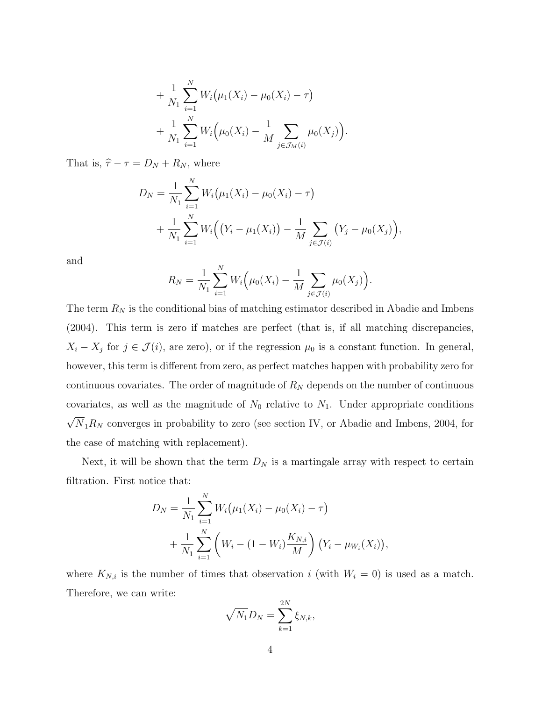+ 
$$
\frac{1}{N_1} \sum_{i=1}^N W_i (\mu_1(X_i) - \mu_0(X_i) - \tau)
$$
  
+  $\frac{1}{N_1} \sum_{i=1}^N W_i (\mu_0(X_i) - \frac{1}{M} \sum_{j \in \mathcal{J}_M(i)} \mu_0(X_j)).$ 

That is,  $\hat{\tau} - \tau = D_N + R_N$ , where

$$
D_N = \frac{1}{N_1} \sum_{i=1}^N W_i (\mu_1(X_i) - \mu_0(X_i) - \tau)
$$
  
+ 
$$
\frac{1}{N_1} \sum_{i=1}^N W_i ((Y_i - \mu_1(X_i)) - \frac{1}{M} \sum_{j \in \mathcal{J}(i)} (Y_j - \mu_0(X_j)),
$$

and

$$
R_N = \frac{1}{N_1} \sum_{i=1}^N W_i \Big( \mu_0(X_i) - \frac{1}{M} \sum_{j \in \mathcal{J}(i)} \mu_0(X_j) \Big).
$$

The term  $R_N$  is the conditional bias of matching estimator described in Abadie and Imbens (2004). This term is zero if matches are perfect (that is, if all matching discrepancies,  $X_i - X_j$  for  $j \in \mathcal{J}(i)$ , are zero), or if the regression  $\mu_0$  is a constant function. In general, however, this term is different from zero, as perfect matches happen with probability zero for continuous covariates. The order of magnitude of  $R_N$  depends on the number of continuous covariates, as well as the magnitude of  $N_0$  relative to  $N_1$ . Under appropriate conditions √  $N_1R_N$  converges in probability to zero (see section IV, or Abadie and Imbens, 2004, for the case of matching with replacement).

Next, it will be shown that the term  $D_N$  is a martingale array with respect to certain filtration. First notice that:

$$
D_N = \frac{1}{N_1} \sum_{i=1}^N W_i (\mu_1(X_i) - \mu_0(X_i) - \tau)
$$
  
+ 
$$
\frac{1}{N_1} \sum_{i=1}^N \left( W_i - (1 - W_i) \frac{K_{N,i}}{M} \right) (Y_i - \mu_{W_i}(X_i)),
$$

where  $K_{N,i}$  is the number of times that observation i (with  $W_i = 0$ ) is used as a match. Therefore, we can write:

$$
\sqrt{N_1}D_N=\sum_{k=1}^{2N}\xi_{N,k},
$$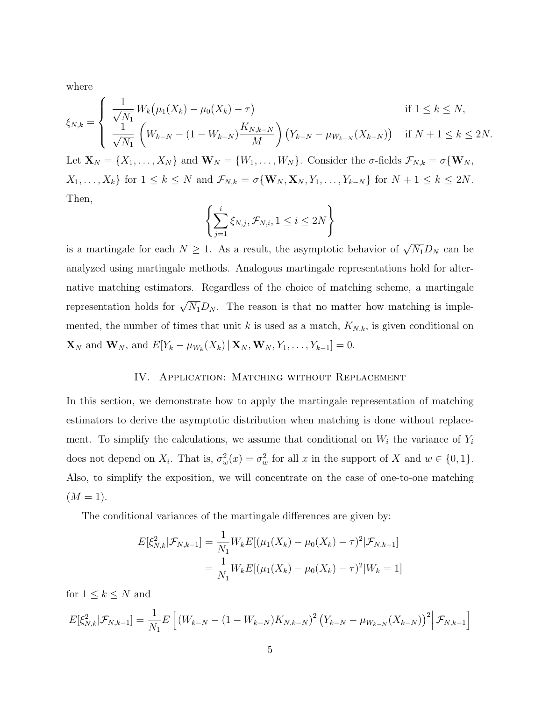where

$$
\xi_{N,k} = \begin{cases}\n\frac{1}{\sqrt{N_1}} W_k (\mu_1(X_k) - \mu_0(X_k) - \tau) & \text{if } 1 \le k \le N, \\
\frac{1}{\sqrt{N_1}} \left( W_{k-N} - (1 - W_{k-N}) \frac{K_{N,k-N}}{M} \right) (Y_{k-N} - \mu_{W_{k-N}}(X_{k-N})) & \text{if } N+1 \le k \le 2N.\n\end{cases}
$$

Let  $\mathbf{X}_N = \{X_1, \ldots, X_N\}$  and  $\mathbf{W}_N = \{W_1, \ldots, W_N\}$ . Consider the  $\sigma$ -fields  $\mathcal{F}_{N,k} = \sigma\{\mathbf{W}_N, \sigma\}$  $X_1, \ldots, X_k$  for  $1 \leq k \leq N$  and  $\mathcal{F}_{N,k} = \sigma \{ \mathbf{W}_N, \mathbf{X}_N, Y_1, \ldots, Y_{k-N} \}$  for  $N+1 \leq k \leq 2N$ . Then,

$$
\left\{\sum_{j=1}^{i} \xi_{N,j}, \mathcal{F}_{N,i}, 1 \leq i \leq 2N\right\}
$$

is a martingale for each  $N \geq 1$ . As a result, the asymptotic behavior of  $\sqrt{N_1}D_N$  can be analyzed using martingale methods. Analogous martingale representations hold for alternative matching estimators. Regardless of the choice of matching scheme, a martingale representation holds for  $\sqrt{N_1}D_N$ . The reason is that no matter how matching is implemented, the number of times that unit k is used as a match,  $K_{N,k}$ , is given conditional on  $\mathbf{X}_N$  and  $\mathbf{W}_N$ , and  $E[Y_k - \mu_{W_k}(X_k) | \mathbf{X}_N, \mathbf{W}_N, Y_1, \dots, Y_{k-1}] = 0.$ 

#### IV. APPLICATION: MATCHING WITHOUT REPLACEMENT

In this section, we demonstrate how to apply the martingale representation of matching estimators to derive the asymptotic distribution when matching is done without replacement. To simplify the calculations, we assume that conditional on  $W_i$  the variance of  $Y_i$ does not depend on  $X_i$ . That is,  $\sigma_w^2(x) = \sigma_w^2$  for all x in the support of X and  $w \in \{0, 1\}$ . Also, to simplify the exposition, we will concentrate on the case of one-to-one matching  $(M = 1).$ 

The conditional variances of the martingale differences are given by:

$$
E[\xi_{N,k}^2 | \mathcal{F}_{N,k-1}] = \frac{1}{N_1} W_k E[(\mu_1(X_k) - \mu_0(X_k) - \tau)^2 | \mathcal{F}_{N,k-1}]
$$
  
= 
$$
\frac{1}{N_1} W_k E[(\mu_1(X_k) - \mu_0(X_k) - \tau)^2 | W_k = 1]
$$

for  $1 \leq k \leq N$  and

$$
E[\xi_{N,k}^{2}|\mathcal{F}_{N,k-1}] = \frac{1}{N_{1}}E\left[\left(W_{k-N} - (1 - W_{k-N})K_{N,k-N}\right)^{2}\left(Y_{k-N} - \mu_{W_{k-N}}(X_{k-N})\right)^{2}\Big|\mathcal{F}_{N,k-1}\right]
$$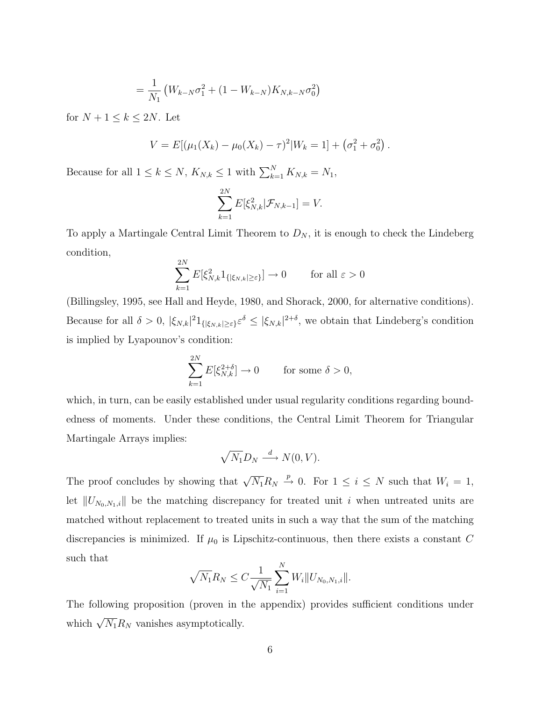$$
= \frac{1}{N_1} \left( W_{k-N} \sigma_1^2 + (1 - W_{k-N}) K_{N,k-N} \sigma_0^2 \right)
$$

for  $N + 1 \leq k \leq 2N$ . Let

$$
V = E[(\mu_1(X_k) - \mu_0(X_k) - \tau)^2 | W_k = 1] + (\sigma_1^2 + \sigma_0^2).
$$

Because for all  $1 \leq k \leq N$ ,  $K_{N,k} \leq 1$  with  $\sum_{k=1}^{N} K_{N,k} = N_1$ ,

$$
\sum_{k=1}^{2N} E[\xi_{N,k}^2 | \mathcal{F}_{N,k-1}] = V.
$$

To apply a Martingale Central Limit Theorem to  $D_N$ , it is enough to check the Lindeberg condition,

$$
\sum_{k=1}^{2N} E[\xi_{N,k}^2 1_{\{|\xi_{N,k}| \ge \varepsilon\}}] \to 0 \quad \text{for all } \varepsilon > 0
$$

(Billingsley, 1995, see Hall and Heyde, 1980, and Shorack, 2000, for alternative conditions). Because for all  $\delta > 0$ ,  $|\xi_{N,k}|^2 1_{\{|\xi_{N,k}| \geq \varepsilon\}} \varepsilon^{\delta} \leq |\xi_{N,k}|^{2+\delta}$ , we obtain that Lindeberg's condition is implied by Lyapounov's condition:

$$
\sum_{k=1}^{2N} E[\xi_{N,k}^{2+\delta}] \to 0 \quad \text{for some } \delta > 0,
$$

which, in turn, can be easily established under usual regularity conditions regarding boundedness of moments. Under these conditions, the Central Limit Theorem for Triangular Martingale Arrays implies:

$$
\sqrt{N_1}D_N \stackrel{d}{\longrightarrow} N(0,V).
$$

The proof concludes by showing that  $\sqrt{N_1}R_N \stackrel{p}{\rightarrow} 0$ . For  $1 \leq i \leq N$  such that  $W_i = 1$ , let  $||U_{N_0,N_1,i}||$  be the matching discrepancy for treated unit i when untreated units are matched without replacement to treated units in such a way that the sum of the matching discrepancies is minimized. If  $\mu_0$  is Lipschitz-continuous, then there exists a constant C such that

$$
\sqrt{N_1}R_N \leq C \frac{1}{\sqrt{N_1}} \sum_{i=1}^N W_i ||U_{N_0,N_1,i}||.
$$

The following proposition (proven in the appendix) provides sufficient conditions under which  $\sqrt{N_1}R_N$  vanishes asymptotically.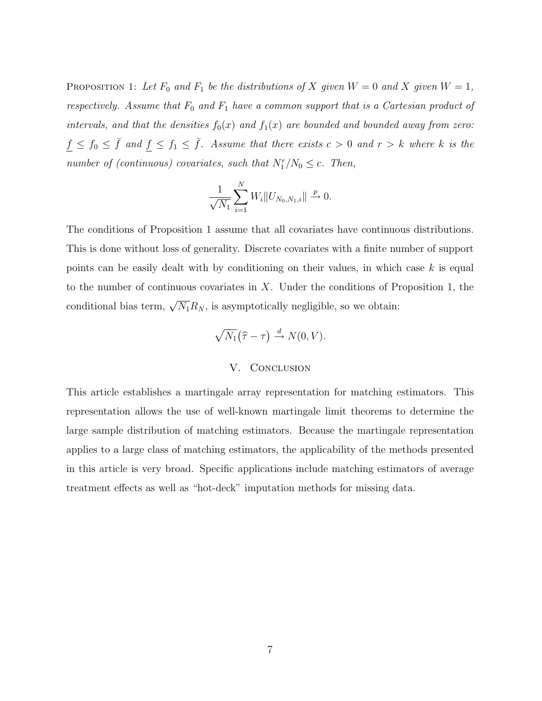PROPOSITION 1: Let  $F_0$  and  $F_1$  be the distributions of X given  $W = 0$  and X given  $W = 1$ , respectively. Assume that  $F_0$  and  $F_1$  have a common support that is a Cartesian product of intervals, and that the densities  $f_0(x)$  and  $f_1(x)$  are bounded and bounded away from zero:  $f \le f_0 \le \bar{f}$  and  $f \le f_1 \le \bar{f}$ . Assume that there exists  $c > 0$  and  $r > k$  where k is the number of (continuous) covariates, such that  $N_1^r/N_0 \leq c$ . Then,

$$
\frac{1}{\sqrt{N_1}}\sum_{i=1}^N W_i ||U_{N_0,N_1,i}|| \xrightarrow{p} 0.
$$

The conditions of Proposition 1 assume that all covariates have continuous distributions. This is done without loss of generality. Discrete covariates with a finite number of support points can be easily dealt with by conditioning on their values, in which case  $k$  is equal to the number of continuous covariates in  $X$ . Under the conditions of Proposition 1, the conditional bias term,  $\sqrt{N_1}R_N$ , is asymptotically negligible, so we obtain:

$$
\sqrt{N_1}(\widehat{\tau}-\tau) \stackrel{d}{\to} N(0,V).
$$

#### V. CONCLUSION

This article establishes a martingale array representation for matching estimators. This representation allows the use of well-known martingale limit theorems to determine the large sample distribution of matching estimators. Because the martingale representation applies to a large class of matching estimators, the applicability of the methods presented in this article is very broad. Specific applications include matching estimators of average treatment effects as well as "hot-deck" imputation methods for missing data.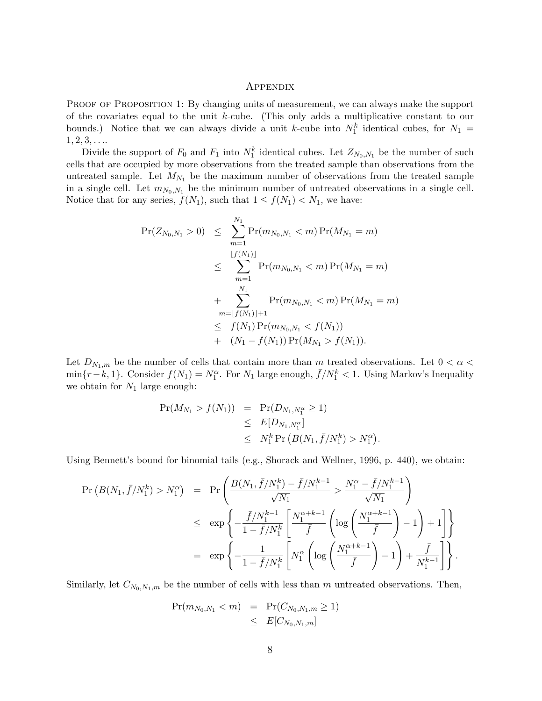#### **APPENDIX**

PROOF OF PROPOSITION 1: By changing units of measurement, we can always make the support of the covariates equal to the unit k-cube. (This only adds a multiplicative constant to our bounds.) Notice that we can always divide a unit k-cube into  $N_1^k$  identical cubes, for  $N_1 =$  $1, 2, 3, \ldots$ 

Divide the support of  $F_0$  and  $F_1$  into  $N_1^k$  identical cubes. Let  $Z_{N_0,N_1}$  be the number of such cells that are occupied by more observations from the treated sample than observations from the untreated sample. Let  $M_{N_1}$  be the maximum number of observations from the treated sample in a single cell. Let  $m_{N_0,N_1}$  be the minimum number of untreated observations in a single cell. Notice that for any series,  $f(N_1)$ , such that  $1 \le f(N_1) < N_1$ , we have:

$$
\begin{array}{lcl} \Pr(Z_{N_0,N_1} > 0) & \leq & \sum\limits_{m=1}^{N_1} \Pr(m_{N_0,N_1} < m) \Pr(M_{N_1} = m) \\ & \leq & \sum\limits_{m=1}^{\lfloor f(N_1) \rfloor} \Pr(m_{N_0,N_1} < m) \Pr(M_{N_1} = m) \\ & + & \sum\limits_{m=\lfloor f(N_1) \rfloor+1}^{N_1} \Pr(m_{N_0,N_1} < m) \Pr(M_{N_1} = m) \\ & \leq & f(N_1) \Pr(m_{N_0,N_1} < f(N_1)) \\ & + & (N_1 - f(N_1)) \Pr(M_{N_1} > f(N_1)). \end{array}
$$

Let  $D_{N_1,m}$  be the number of cells that contain more than m treated observations. Let  $0 < \alpha <$  $\min\{r-k,1\}$ . Consider  $f(N_1) = N_1^{\alpha}$ . For  $N_1$  large enough,  $\bar{f}/N_1^k < 1$ . Using Markov's Inequality we obtain for  $N_1$  large enough:

$$
Pr(M_{N_1} > f(N_1)) = Pr(D_{N_1,N_1^{\alpha}} \ge 1)
$$
  
\n
$$
\le E[D_{N_1,N_1^{\alpha}}]
$$
  
\n
$$
\le N_1^k Pr(B(N_1, \bar{f}/N_1^k) > N_1^{\alpha}).
$$

Using Bennett's bound for binomial tails (e.g., Shorack and Wellner, 1996, p. 440), we obtain:

$$
\begin{array}{rcl}\Pr\left(B(N_1,\bar{f}/N_1^k) > N_1^\alpha\right) & = & \Pr\left(\frac{B(N_1,\bar{f}/N_1^k) - \bar{f}/N_1^{k-1}}{\sqrt{N_1}} > \frac{N_1^\alpha - \bar{f}/N_1^{k-1}}{\sqrt{N_1}}\right) \\
& \leq & \exp\left\{-\frac{\bar{f}/N_1^{k-1}}{1 - \bar{f}/N_1^k} \left[\frac{N_1^{\alpha+k-1}}{\bar{f}}\left(\log\left(\frac{N_1^{\alpha+k-1}}{\bar{f}}\right)-1\right)+1\right]\right\} \\
& = & \exp\left\{-\frac{1}{1 - \bar{f}/N_1^k} \left[N_1^\alpha\left(\log\left(\frac{N_1^{\alpha+k-1}}{\bar{f}}\right)-1\right)+\frac{\bar{f}}{N_1^{k-1}}\right]\right\}.\n\end{array}
$$

Similarly, let  $C_{N_0,N_1,m}$  be the number of cells with less than m untreated observations. Then,

$$
\Pr(m_{N_0, N_1} < m) = \Pr(C_{N_0, N_1, m} \ge 1) \\
 \le E[C_{N_0, N_1, m}]
$$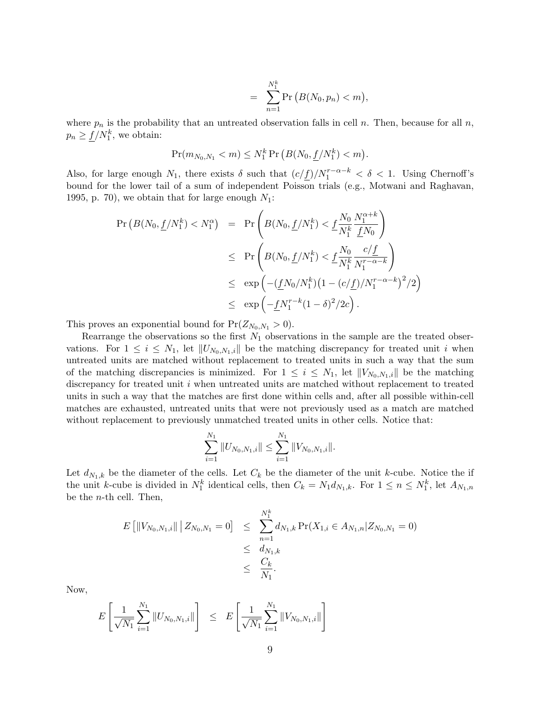$$
= \sum_{n=1}^{N_1^k} \Pr(B(N_0, p_n) < m),
$$

where  $p_n$  is the probability that an untreated observation falls in cell n. Then, because for all n,  $p_n \geq \underline{f}/N_1^k$ , we obtain:

$$
\Pr(m_{N_0,N_1} < m) \le N_1^k \Pr\left(B(N_0,\underline{f}/N_1^k) < m\right).
$$

Also, for large enough  $N_1$ , there exists  $\delta$  such that  $(c/f)/N_1^{r-\alpha-k} < \delta < 1$ . Using Chernoff's bound for the lower tail of a sum of independent Poisson trials (e.g., Motwani and Raghavan, 1995, p. 70), we obtain that for large enough  $N_1$ :

$$
\begin{array}{rcl} \Pr\left(B(N_0, \underline{f}/N_1^k) < N_1^{\alpha}\right) & = & \Pr\left(B(N_0, \underline{f}/N_1^k) < \underline{f}\frac{N_0}{N_1^k} \frac{N_1^{\alpha+k}}{\underline{f}N_0}\right) \\ & \leq & \Pr\left(B(N_0, \underline{f}/N_1^k) < \underline{f}\frac{N_0}{N_1^k} \frac{c/\underline{f}}{N_1^{r-\alpha-k}}\right) \\ & \leq & \exp\left(-(\underline{f}N_0/N_1^k)(1 - (c/\underline{f})/N_1^{r-\alpha-k})^2/2\right) \\ & \leq & \exp\left(-\underline{f}N_1^{r-k}(1-\delta)^2/2c\right). \end{array}
$$

This proves an exponential bound for  $Pr(Z_{N_0,N_1} > 0)$ .

Rearrange the observations so the first  $N_1$  observations in the sample are the treated observations. For  $1 \leq i \leq N_1$ , let  $||U_{N_0,N_1,i}||$  be the matching discrepancy for treated unit i when untreated units are matched without replacement to treated units in such a way that the sum of the matching discrepancies is minimized. For  $1 \leq i \leq N_1$ , let  $||V_{N_0,N_1,i}||$  be the matching discrepancy for treated unit  $i$  when untreated units are matched without replacement to treated units in such a way that the matches are first done within cells and, after all possible within-cell matches are exhausted, untreated units that were not previously used as a match are matched without replacement to previously unmatched treated units in other cells. Notice that:

$$
\sum_{i=1}^{N_1} ||U_{N_0,N_1,i}|| \leq \sum_{i=1}^{N_1} ||V_{N_0,N_1,i}||.
$$

Let  $d_{N_1,k}$  be the diameter of the cells. Let  $C_k$  be the diameter of the unit k-cube. Notice the if the unit k-cube is divided in  $N_1^k$  identical cells, then  $C_k = N_1 d_{N_1,k}$ . For  $1 \leq n \leq N_1^k$ , let  $A_{N_1,n}$ be the n-th cell. Then,

$$
E [||V_{N_0,N_1,i}|| | Z_{N_0,N_1} = 0] \leq \sum_{n=1}^{N_1^k} d_{N_1,k} \Pr(X_{1,i} \in A_{N_1,n} | Z_{N_0,N_1} = 0)
$$
  

$$
\leq d_{N_1,k}
$$
  

$$
\leq \frac{C_k}{N_1}.
$$

Now,

$$
E\left[\frac{1}{\sqrt{N_1}}\sum_{i=1}^{N_1} \|U_{N_0,N_1,i}\| \right] \leq E\left[\frac{1}{\sqrt{N_1}}\sum_{i=1}^{N_1} \|V_{N_0,N_1,i}\| \right]
$$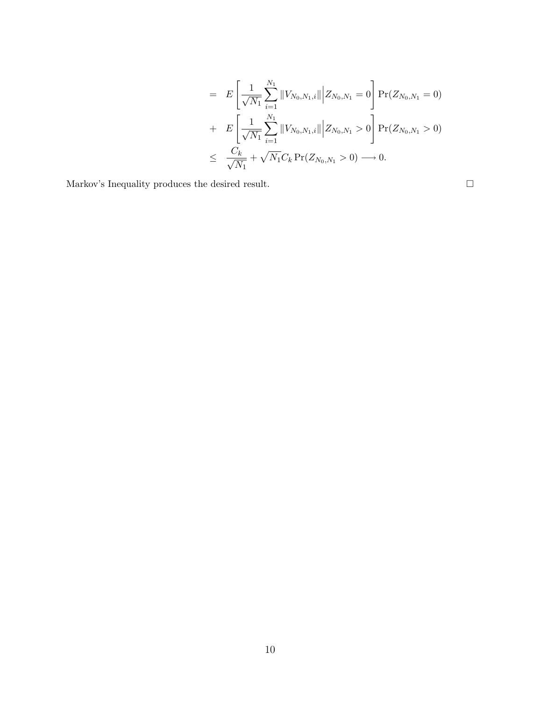$$
= E\left[\frac{1}{\sqrt{N_1}}\sum_{i=1}^{N_1} ||V_{N_0,N_1,i}|| \middle| Z_{N_0,N_1} = 0 \right] Pr(Z_{N_0,N_1} = 0)
$$
  
+ 
$$
E\left[\frac{1}{\sqrt{N_1}}\sum_{i=1}^{N_1} ||V_{N_0,N_1,i}|| \middle| Z_{N_0,N_1} > 0 \right] Pr(Z_{N_0,N_1} > 0)
$$
  

$$
\leq \frac{C_k}{\sqrt{N_1}} + \sqrt{N_1}C_k Pr(Z_{N_0,N_1} > 0) \longrightarrow 0.
$$

Markov's Inequality produces the desired result.  $\hfill \square$